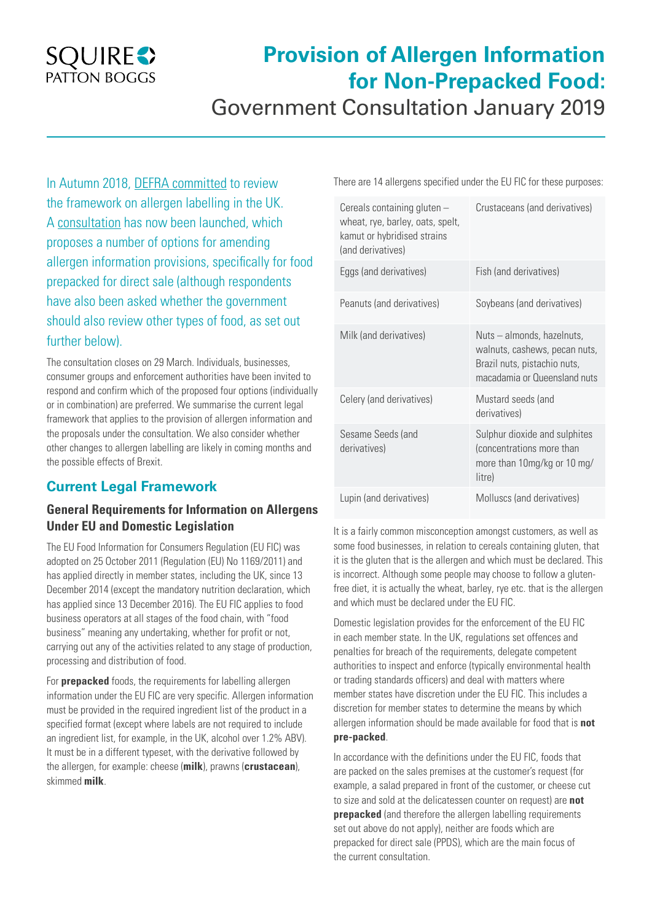## **SQUIRES** PATTON BOGGS

# **Provision of Allergen Information for Non-Prepacked Food:**  Government Consultation January 2019

In Autumn 2018, [DEFRA committed](https://www.gov.uk/government/news/environment-secretary-meets-retailers-and-allergy-groups-as-allergen-labelling-review-progresses) to review the framework on allergen labelling in the UK. A [consultation](https://consult.defra.gov.uk/agri-food-chain-directorate/consultation-on-amending-allergen-information/) has now been launched, which proposes a number of options for amending allergen information provisions, specifically for food prepacked for direct sale (although respondents have also been asked whether the government should also review other types of food, as set out further below).

The consultation closes on 29 March. Individuals, businesses, consumer groups and enforcement authorities have been invited to respond and confirm which of the proposed four options (individually or in combination) are preferred. We summarise the current legal framework that applies to the provision of allergen information and the proposals under the consultation. We also consider whether other changes to allergen labelling are likely in coming months and the possible effects of Brexit.

## **Current Legal Framework**

### **General Requirements for Information on Allergens Under EU and Domestic Legislation**

The EU Food Information for Consumers Regulation (EU FIC) was adopted on 25 October 2011 (Regulation (EU) No 1169/2011) and has applied directly in member states, including the UK, since 13 December 2014 (except the mandatory nutrition declaration, which has applied since 13 December 2016). The EU FIC applies to food business operators at all stages of the food chain, with "food business" meaning any undertaking, whether for profit or not, carrying out any of the activities related to any stage of production, processing and distribution of food.

For **prepacked** foods, the requirements for labelling allergen information under the EU FIC are very specific. Allergen information must be provided in the required ingredient list of the product in a specified format (except where labels are not required to include an ingredient list, for example, in the UK, alcohol over 1.2% ABV). It must be in a different typeset, with the derivative followed by the allergen, for example: cheese (**milk**), prawns (**crustacean**), skimmed **milk**.

There are 14 allergens specified under the EU FIC for these purposes:

| Cereals containing gluten -<br>wheat, rye, barley, oats, spelt,<br>kamut or hybridised strains<br>(and derivatives) | Crustaceans (and derivatives)                                                                                               |
|---------------------------------------------------------------------------------------------------------------------|-----------------------------------------------------------------------------------------------------------------------------|
| Eggs (and derivatives)                                                                                              | Fish (and derivatives)                                                                                                      |
| Peanuts (and derivatives)                                                                                           | Soybeans (and derivatives)                                                                                                  |
| Milk (and derivatives)                                                                                              | Nuts - almonds, hazelnuts,<br>walnuts, cashews, pecan nuts,<br>Brazil nuts, pistachio nuts,<br>macadamia or Queensland nuts |
| Celery (and derivatives)                                                                                            | Mustard seeds (and<br>derivatives)                                                                                          |
| Sesame Seeds (and<br>derivatives)                                                                                   | Sulphur dioxide and sulphites<br>(concentrations more than<br>more than 10mg/kg or 10 mg/<br>litre)                         |
| Lupin (and derivatives)                                                                                             | Molluscs (and derivatives)                                                                                                  |

It is a fairly common misconception amongst customers, as well as some food businesses, in relation to cereals containing gluten, that it is the gluten that is the allergen and which must be declared. This is incorrect. Although some people may choose to follow a glutenfree diet, it is actually the wheat, barley, rye etc. that is the allergen and which must be declared under the EU FIC.

Domestic legislation provides for the enforcement of the EU FIC in each member state. In the UK, regulations set offences and penalties for breach of the requirements, delegate competent authorities to inspect and enforce (typically environmental health or trading standards officers) and deal with matters where member states have discretion under the EU FIC. This includes a discretion for member states to determine the means by which allergen information should be made available for food that is **not pre-packed**.

In accordance with the definitions under the EU FIC, foods that are packed on the sales premises at the customer's request (for example, a salad prepared in front of the customer, or cheese cut to size and sold at the delicatessen counter on request) are **not prepacked** (and therefore the allergen labelling requirements set out above do not apply), neither are foods which are prepacked for direct sale (PPDS), which are the main focus of the current consultation.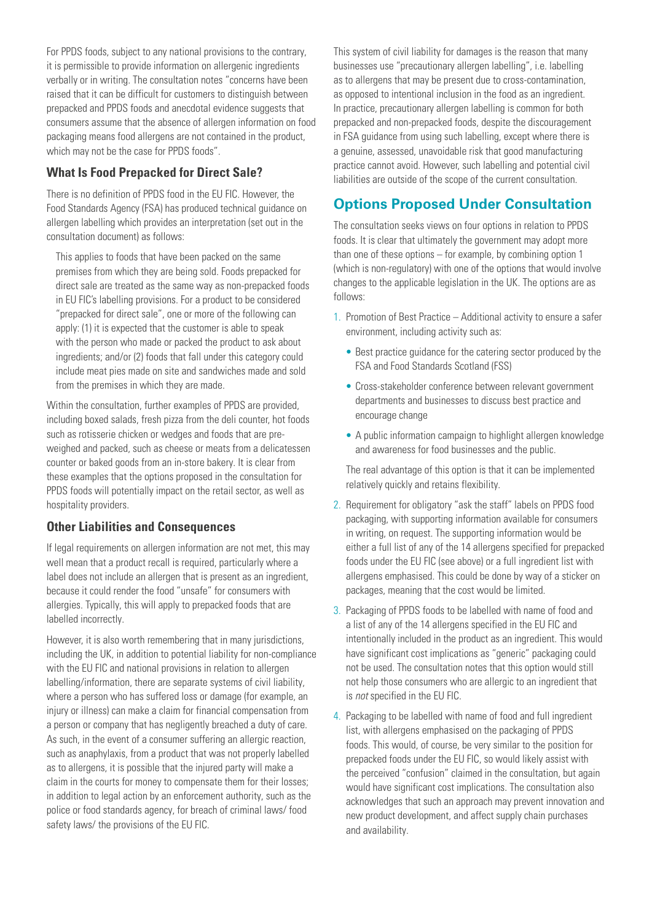For PPDS foods, subject to any national provisions to the contrary, it is permissible to provide information on allergenic ingredients verbally or in writing. The consultation notes "concerns have been raised that it can be difficult for customers to distinguish between prepacked and PPDS foods and anecdotal evidence suggests that consumers assume that the absence of allergen information on food packaging means food allergens are not contained in the product, which may not be the case for PPDS foods".

#### **What Is Food Prepacked for Direct Sale?**

There is no definition of PPDS food in the EU FIC. However, the Food Standards Agency (FSA) has produced technical guidance on allergen labelling which provides an interpretation (set out in the consultation document) as follows:

This applies to foods that have been packed on the same premises from which they are being sold. Foods prepacked for direct sale are treated as the same way as non-prepacked foods in EU FIC's labelling provisions. For a product to be considered "prepacked for direct sale", one or more of the following can apply: (1) it is expected that the customer is able to speak with the person who made or packed the product to ask about ingredients; and/or (2) foods that fall under this category could include meat pies made on site and sandwiches made and sold from the premises in which they are made.

Within the consultation, further examples of PPDS are provided, including boxed salads, fresh pizza from the deli counter, hot foods such as rotisserie chicken or wedges and foods that are preweighed and packed, such as cheese or meats from a delicatessen counter or baked goods from an in-store bakery. It is clear from these examples that the options proposed in the consultation for PPDS foods will potentially impact on the retail sector, as well as hospitality providers.

#### **Other Liabilities and Consequences**

If legal requirements on allergen information are not met, this may well mean that a product recall is required, particularly where a label does not include an allergen that is present as an ingredient, because it could render the food "unsafe" for consumers with allergies. Typically, this will apply to prepacked foods that are labelled incorrectly.

However, it is also worth remembering that in many jurisdictions, including the UK, in addition to potential liability for non-compliance with the EU FIC and national provisions in relation to allergen labelling/information, there are separate systems of civil liability, where a person who has suffered loss or damage (for example, an injury or illness) can make a claim for financial compensation from a person or company that has negligently breached a duty of care. As such, in the event of a consumer suffering an allergic reaction, such as anaphylaxis, from a product that was not properly labelled as to allergens, it is possible that the injured party will make a claim in the courts for money to compensate them for their losses; in addition to legal action by an enforcement authority, such as the police or food standards agency, for breach of criminal laws/ food safety laws/ the provisions of the EU FIC.

This system of civil liability for damages is the reason that many businesses use "precautionary allergen labelling", i.e. labelling as to allergens that may be present due to cross-contamination, as opposed to intentional inclusion in the food as an ingredient. In practice, precautionary allergen labelling is common for both prepacked and non-prepacked foods, despite the discouragement in FSA guidance from using such labelling, except where there is a genuine, assessed, unavoidable risk that good manufacturing practice cannot avoid. However, such labelling and potential civil liabilities are outside of the scope of the current consultation.

## **Options Proposed Under Consultation**

The consultation seeks views on four options in relation to PPDS foods. It is clear that ultimately the government may adopt more than one of these options – for example, by combining option 1 (which is non-regulatory) with one of the options that would involve changes to the applicable legislation in the UK. The options are as follows:

- 1. Promotion of Best Practice Additional activity to ensure a safer environment, including activity such as:
	- Best practice guidance for the catering sector produced by the FSA and Food Standards Scotland (FSS)
	- Cross-stakeholder conference between relevant government departments and businesses to discuss best practice and encourage change
	- A public information campaign to highlight allergen knowledge and awareness for food businesses and the public.

The real advantage of this option is that it can be implemented relatively quickly and retains flexibility.

- 2. Requirement for obligatory "ask the staff" labels on PPDS food packaging, with supporting information available for consumers in writing, on request. The supporting information would be either a full list of any of the 14 allergens specified for prepacked foods under the EU FIC (see above) or a full ingredient list with allergens emphasised. This could be done by way of a sticker on packages, meaning that the cost would be limited.
- 3. Packaging of PPDS foods to be labelled with name of food and a list of any of the 14 allergens specified in the EU FIC and intentionally included in the product as an ingredient. This would have significant cost implications as "generic" packaging could not be used. The consultation notes that this option would still not help those consumers who are allergic to an ingredient that is *not* specified in the EU FIC.
- 4. Packaging to be labelled with name of food and full ingredient list, with allergens emphasised on the packaging of PPDS foods. This would, of course, be very similar to the position for prepacked foods under the EU FIC, so would likely assist with the perceived "confusion" claimed in the consultation, but again would have significant cost implications. The consultation also acknowledges that such an approach may prevent innovation and new product development, and affect supply chain purchases and availability.